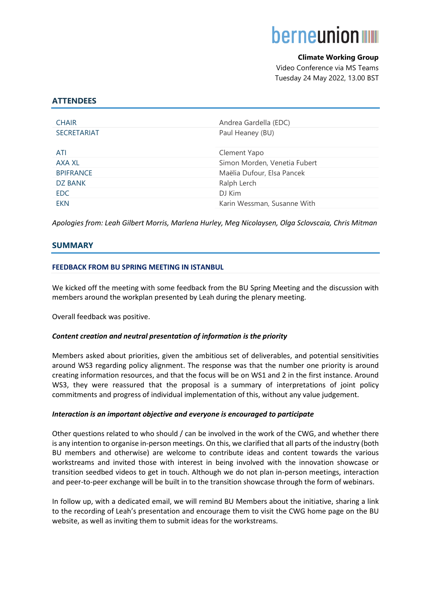# **berneunion www**

# **Climate Working Group**

 Video Conference via MS Teams Tuesday 24 May 2022, 13.00 BST

# **ATTENDEES**

| Andrea Gardella (EDC)        |
|------------------------------|
| Paul Heaney (BU)             |
|                              |
| Clement Yapo                 |
| Simon Morden, Venetia Fubert |
| Maëlia Dufour, Elsa Pancek   |
| Ralph Lerch                  |
| DJ Kim                       |
| Karin Wessman, Susanne With  |
|                              |

*Apologies from: Leah Gilbert Morris, Marlena Hurley, Meg Nicolaysen, Olga Sclovscaia, Chris Mitman*

# **SUMMARY**

# **FEEDBACK FROM BU SPRING MEETING IN ISTANBUL**

We kicked off the meeting with some feedback from the BU Spring Meeting and the discussion with members around the workplan presented by Leah during the plenary meeting.

Overall feedback was positive.

## *Content creation and neutral presentation of information is the priority*

Members asked about priorities, given the ambitious set of deliverables, and potential sensitivities around WS3 regarding policy alignment. The response was that the number one priority is around creating information resources, and that the focus will be on WS1 and 2 in the first instance. Around WS3, they were reassured that the proposal is a summary of interpretations of joint policy commitments and progress of individual implementation of this, without any value judgement.

## *Interaction is an important objective and everyone is encouraged to participate*

Other questions related to who should / can be involved in the work of the CWG, and whether there is any intention to organise in-person meetings. On this, we clarified that all parts of the industry (both BU members and otherwise) are welcome to contribute ideas and content towards the various workstreams and invited those with interest in being involved with the innovation showcase or transition seedbed videos to get in touch. Although we do not plan in-person meetings, interaction and peer-to-peer exchange will be built in to the transition showcase through the form of webinars.

In follow up, with a dedicated email, we will remind BU Members about the initiative, sharing a link to the recording of Leah's presentation and encourage them to visit the CWG home page on the BU website, as well as inviting them to submit ideas for the workstreams.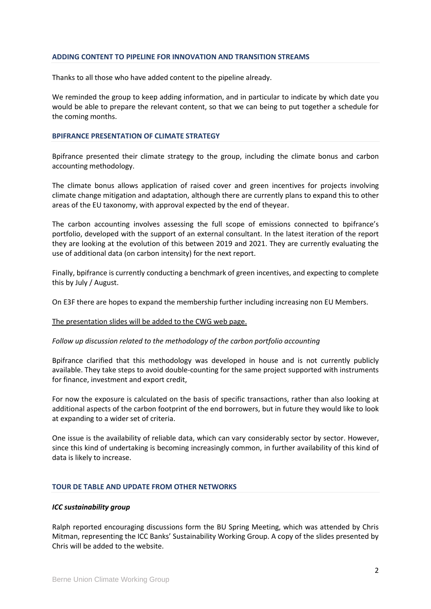#### **ADDING CONTENT TO PIPELINE FOR INNOVATION AND TRANSITION STREAMS**

Thanks to all those who have added content to the pipeline already.

We reminded the group to keep adding information, and in particular to indicate by which date you would be able to prepare the relevant content, so that we can being to put together a schedule for the coming months.

#### **BPIFRANCE PRESENTATION OF CLIMATE STRATEGY**

Bpifrance presented their climate strategy to the group, including the climate bonus and carbon accounting methodology.

The climate bonus allows application of raised cover and green incentives for projects involving climate change mitigation and adaptation, although there are currently plans to expand this to other areas of the EU taxonomy, with approval expected by the end of theyear.

The carbon accounting involves assessing the full scope of emissions connected to bpifrance's portfolio, developed with the support of an external consultant. In the latest iteration of the report they are looking at the evolution of this between 2019 and 2021. They are currently evaluating the use of additional data (on carbon intensity) for the next report.

Finally, bpifrance is currently conducting a benchmark of green incentives, and expecting to complete this by July / August.

On E3F there are hopes to expand the membership further including increasing non EU Members.

## The presentation slides will be added to the CWG web page.

## *Follow up discussion related to the methodology of the carbon portfolio accounting*

Bpifrance clarified that this methodology was developed in house and is not currently publicly available. They take steps to avoid double-counting for the same project supported with instruments for finance, investment and export credit,

For now the exposure is calculated on the basis of specific transactions, rather than also looking at additional aspects of the carbon footprint of the end borrowers, but in future they would like to look at expanding to a wider set of criteria.

One issue is the availability of reliable data, which can vary considerably sector by sector. However, since this kind of undertaking is becoming increasingly common, in further availability of this kind of data is likely to increase.

#### **TOUR DE TABLE AND UPDATE FROM OTHER NETWORKS**

#### *ICC sustainability group*

Ralph reported encouraging discussions form the BU Spring Meeting, which was attended by Chris Mitman, representing the ICC Banks' Sustainability Working Group. A copy of the slides presented by Chris will be added to the website.